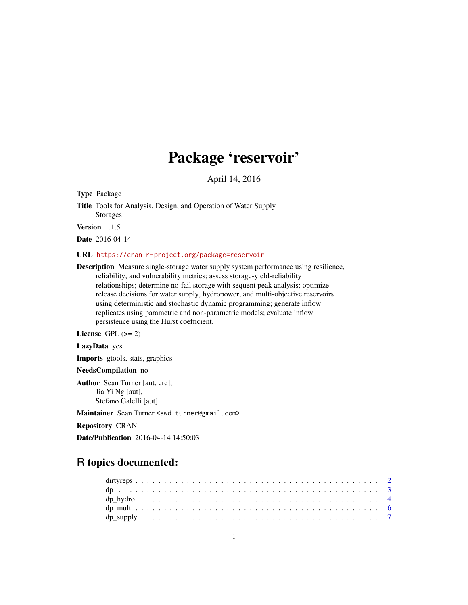# Package 'reservoir'

April 14, 2016

Type Package

Title Tools for Analysis, Design, and Operation of Water Supply Storages

Version 1.1.5

Date 2016-04-14

#### URL <https://cran.r-project.org/package=reservoir>

Description Measure single-storage water supply system performance using resilience, reliability, and vulnerability metrics; assess storage-yield-reliability relationships; determine no-fail storage with sequent peak analysis; optimize release decisions for water supply, hydropower, and multi-objective reservoirs using deterministic and stochastic dynamic programming; generate inflow replicates using parametric and non-parametric models; evaluate inflow persistence using the Hurst coefficient.

License GPL  $(>= 2)$ 

LazyData yes

Imports gtools, stats, graphics

NeedsCompilation no

Author Sean Turner [aut, cre], Jia Yi Ng [aut], Stefano Galelli [aut]

Maintainer Sean Turner <swd.turner@gmail.com>

Repository CRAN

Date/Publication 2016-04-14 14:50:03

# R topics documented: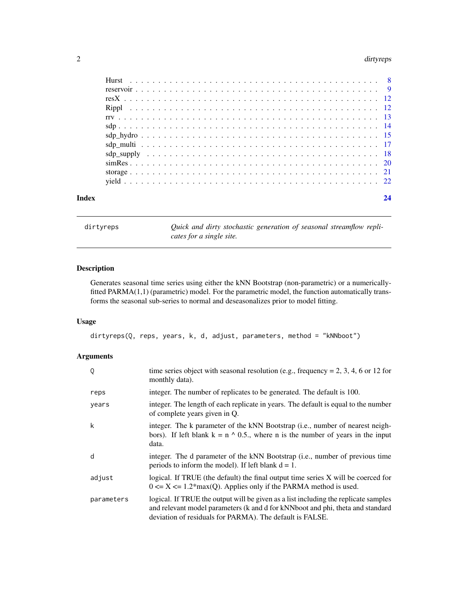#### <span id="page-1-0"></span>2 dirtyreps and the control of the control of the control of the control of the control of the control of the control of the control of the control of the control of the control of the control of the control of the control

| $\sup_{x \to a} \sup_{x \to a} \sup_{x \to a} \left[ \frac{1}{2} \left[ \frac{1}{2} \left( \frac{1}{2} \left( \frac{1}{2} \left( \frac{1}{2} \left( \frac{1}{2} \left( \frac{1}{2} \left( \frac{1}{2} \left( \frac{1}{2} \left( \frac{1}{2} \left( \frac{1}{2} \left( \frac{1}{2} \right) \right) \right) \right) \right) \right) \right) \right) \right]$ |  |  |  |  |  |  |  |  |  |  |  |  |  |  |  |  |  |  |  |  |  |    |
|------------------------------------------------------------------------------------------------------------------------------------------------------------------------------------------------------------------------------------------------------------------------------------------------------------------------------------------------------------|--|--|--|--|--|--|--|--|--|--|--|--|--|--|--|--|--|--|--|--|--|----|
|                                                                                                                                                                                                                                                                                                                                                            |  |  |  |  |  |  |  |  |  |  |  |  |  |  |  |  |  |  |  |  |  |    |
|                                                                                                                                                                                                                                                                                                                                                            |  |  |  |  |  |  |  |  |  |  |  |  |  |  |  |  |  |  |  |  |  |    |
|                                                                                                                                                                                                                                                                                                                                                            |  |  |  |  |  |  |  |  |  |  |  |  |  |  |  |  |  |  |  |  |  |    |
| Index                                                                                                                                                                                                                                                                                                                                                      |  |  |  |  |  |  |  |  |  |  |  |  |  |  |  |  |  |  |  |  |  | 24 |

<span id="page-1-1"></span>dirtyreps  $Quick$  and dirty stochastic generation of seasonal streamflow repli*cates for a single site.*

# Description

Generates seasonal time series using either the kNN Bootstrap (non-parametric) or a numericallyfitted PARMA(1,1) (parametric) model. For the parametric model, the function automatically transforms the seasonal sub-series to normal and deseasonalizes prior to model fitting.

# Usage

```
dirtyreps(Q, reps, years, k, d, adjust, parameters, method = "kNNboot")
```

| Q          | time series object with seasonal resolution (e.g., frequency = 2, 3, 4, 6 or 12 for<br>monthly data).                                                                                                                             |
|------------|-----------------------------------------------------------------------------------------------------------------------------------------------------------------------------------------------------------------------------------|
| reps       | integer. The number of replicates to be generated. The default is 100.                                                                                                                                                            |
| years      | integer. The length of each replicate in years. The default is equal to the number<br>of complete years given in Q.                                                                                                               |
| k          | integer. The k parameter of the kNN Bootstrap (i.e., number of nearest neigh-<br>bors). If left blank $k = n \land 0.5$ , where n is the number of years in the input<br>data.                                                    |
| d          | integer. The d parameter of the kNN Bootstrap (i.e., number of previous time<br>periods to inform the model). If left blank $d = 1$ .                                                                                             |
| adjust     | logical. If TRUE (the default) the final output time series $X$ will be coerced for<br>$0 \le X \le 1.2$ *max(Q). Applies only if the PARMA method is used.                                                                       |
| parameters | logical. If TRUE the output will be given as a list including the replicate samples<br>and relevant model parameters (k and d for kNNboot and phi, theta and standard<br>deviation of residuals for PARMA). The default is FALSE. |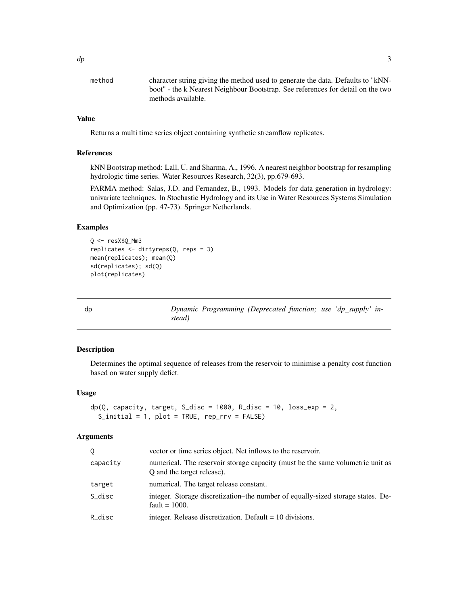<span id="page-2-0"></span>

| character string giving the method used to generate the data. Defaults to "kNN- |
|---------------------------------------------------------------------------------|
| boot" - the k Nearest Neighbour Bootstrap. See references for detail on the two |
| methods available.                                                              |
|                                                                                 |

Returns a multi time series object containing synthetic streamflow replicates.

#### References

kNN Bootstrap method: Lall, U. and Sharma, A., 1996. A nearest neighbor bootstrap for resampling hydrologic time series. Water Resources Research, 32(3), pp.679-693.

PARMA method: Salas, J.D. and Fernandez, B., 1993. Models for data generation in hydrology: univariate techniques. In Stochastic Hydrology and its Use in Water Resources Systems Simulation and Optimization (pp. 47-73). Springer Netherlands.

#### Examples

```
Q \leq - resX$Q_Mm3
replicates <- dirtyreps(Q, reps = 3)
mean(replicates); mean(Q)
sd(replicates); sd(Q)
plot(replicates)
```
dp *Dynamic Programming (Deprecated function; use 'dp\_supply' instead)*

# Description

Determines the optimal sequence of releases from the reservoir to minimise a penalty cost function based on water supply defict.

#### Usage

```
dp(Q, capacity, target, S\_disc = 1000, R\_disc = 10, loss\_exp = 2,S_initial = 1, plot = TRUE, rep_rrv = FALSE)
```

| 0        | vector or time series object. Net inflows to the reservoir.                                                  |
|----------|--------------------------------------------------------------------------------------------------------------|
| capacity | numerical. The reservoir storage capacity (must be the same volumetric unit as<br>Q and the target release). |
| target   | numerical. The target release constant.                                                                      |
| S_disc   | integer. Storage discretization–the number of equally-sized storage states. De-<br>fault = $1000$ .          |
| R_disc   | integer. Release discretization. Default $= 10$ divisions.                                                   |
|          |                                                                                                              |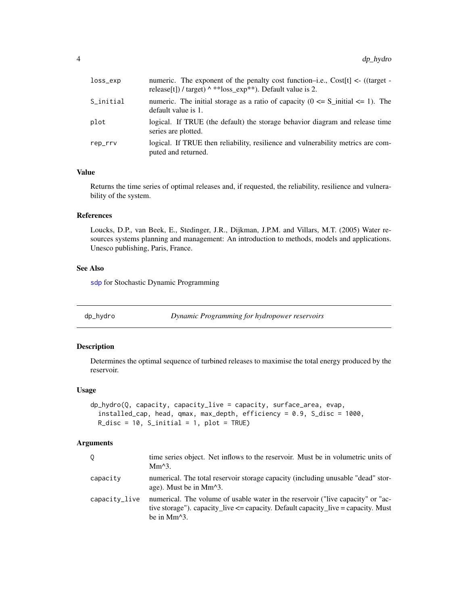<span id="page-3-0"></span>

| loss_exp  | numeric. The exponent of the penalty cost function-i.e., Cost[t] $\langle$ - ((target -<br>release[t]) / target) ^ ** loss_exp**). Default value is 2. |
|-----------|--------------------------------------------------------------------------------------------------------------------------------------------------------|
| S_initial | numeric. The initial storage as a ratio of capacity ( $0 \le S_1$ initial $\le 1$ ). The<br>default value is 1.                                        |
| plot      | logical. If TRUE (the default) the storage behavior diagram and release time<br>series are plotted.                                                    |
| rep_rrv   | logical. If TRUE then reliability, resilience and vulnerability metrics are com-<br>puted and returned.                                                |

Returns the time series of optimal releases and, if requested, the reliability, resilience and vulnerability of the system.

#### References

Loucks, D.P., van Beek, E., Stedinger, J.R., Dijkman, J.P.M. and Villars, M.T. (2005) Water resources systems planning and management: An introduction to methods, models and applications. Unesco publishing, Paris, France.

# See Also

[sdp](#page-13-1) for Stochastic Dynamic Programming

<span id="page-3-1"></span>dp\_hydro *Dynamic Programming for hydropower reservoirs*

#### Description

Determines the optimal sequence of turbined releases to maximise the total energy produced by the reservoir.

# Usage

```
dp_hydro(Q, capacity, capacity_live = capacity, surface_area, evap,
  installed_cap, head, qmax, max_depth, efficiency = 0.9, S_disc = 1000,
 R\_disc = 10, S_initial = 1, plot = TRUE)
```

|               | time series object. Net inflows to the reservoir. Must be in volumetric units of<br>$Mm^3$ .                                                                                           |
|---------------|----------------------------------------------------------------------------------------------------------------------------------------------------------------------------------------|
| capacity      | numerical. The total reservoir storage capacity (including unusable "dead" stor-<br>age). Must be in Mm <sup><math>\lambda</math>3.</sup>                                              |
| capacity_live | numerical. The volume of usable water in the reservoir ("live capacity" or "ac-<br>tive storage"). capacity_live <= capacity. Default capacity_live = capacity. Must<br>be in $Mm^3$ . |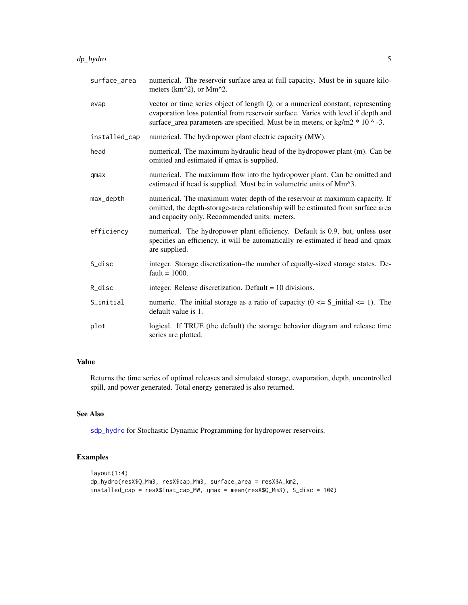<span id="page-4-0"></span>

| surface_area  | numerical. The reservoir surface area at full capacity. Must be in square kilo-<br>meters ( $km^2$ ), or Mm <sup>2</sup> .                                                                                                                              |
|---------------|---------------------------------------------------------------------------------------------------------------------------------------------------------------------------------------------------------------------------------------------------------|
| evap          | vector or time series object of length Q, or a numerical constant, representing<br>evaporation loss potential from reservoir surface. Varies with level if depth and<br>surface_area parameters are specified. Must be in meters, or kg/m2 $*$ 10 ^ -3. |
| installed_cap | numerical. The hydropower plant electric capacity (MW).                                                                                                                                                                                                 |
| head          | numerical. The maximum hydraulic head of the hydropower plant (m). Can be<br>omitted and estimated if qmax is supplied.                                                                                                                                 |
| qmax          | numerical. The maximum flow into the hydropower plant. Can be omitted and<br>estimated if head is supplied. Must be in volumetric units of Mm^3.                                                                                                        |
| max_depth     | numerical. The maximum water depth of the reservoir at maximum capacity. If<br>omitted, the depth-storage-area relationship will be estimated from surface area<br>and capacity only. Recommended units: meters.                                        |
| efficiency    | numerical. The hydropower plant efficiency. Default is 0.9, but, unless user<br>specifies an efficiency, it will be automatically re-estimated if head and qmax<br>are supplied.                                                                        |
| S_disc        | integer. Storage discretization–the number of equally-sized storage states. De-<br>fault = $1000$ .                                                                                                                                                     |
| R_disc        | integer. Release discretization. Default $= 10$ divisions.                                                                                                                                                                                              |
| S_initial     | numeric. The initial storage as a ratio of capacity ( $0 \le S_i$ initial $\le 1$ ). The<br>default value is 1.                                                                                                                                         |
| plot          | logical. If TRUE (the default) the storage behavior diagram and release time<br>series are plotted.                                                                                                                                                     |

Returns the time series of optimal releases and simulated storage, evaporation, depth, uncontrolled spill, and power generated. Total energy generated is also returned.

# See Also

[sdp\\_hydro](#page-14-1) for Stochastic Dynamic Programming for hydropower reservoirs.

# Examples

```
layout(1:4)
dp_hydro(resX$Q_Mm3, resX$cap_Mm3, surface_area = resX$A_km2,
installed_cap = resX$Inst_cap_MW, qmax = mean(resX$Q_Mm3), S_disc = 100)
```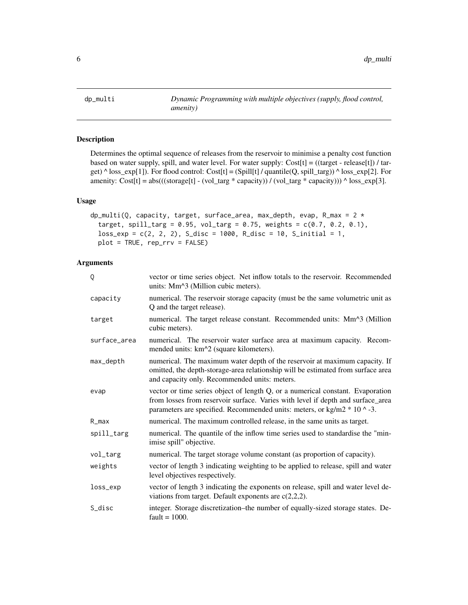<span id="page-5-1"></span><span id="page-5-0"></span>

# Description

Determines the optimal sequence of releases from the reservoir to minimise a penalty cost function based on water supply, spill, and water level. For water supply:  $Cost[t] = ((target - release[t]) / tar$ get) ^ loss\_exp[1]). For flood control: Cost[t] = (Spill[t] / quantile(Q, spill\_targ)) ^ loss\_exp[2]. For amenity:  $Cost[t] = abs(((storage[t] - (vol\_targ * capacity)) / (vol\_targ * capacity))) \land loss\_exp[3].$ 

# Usage

```
dp_multi(Q, capacity, target, surface_area, max_depth, evap, R_max = 2 *target, spill_targ = 0.95, vol_targ = 0.75, weights = c(0.7, 0.2, 0.1),
  loss\_exp = c(2, 2, 2), S\_disc = 1000, R\_disc = 10, S\_initial = 1,plot = TRUE, rep_rrv = FALSE)
```

| Q            | vector or time series object. Net inflow totals to the reservoir. Recommended<br>units: Mm <sup><math>\land</math></sup> 3 (Million cubic meters).                                                                                              |
|--------------|-------------------------------------------------------------------------------------------------------------------------------------------------------------------------------------------------------------------------------------------------|
| capacity     | numerical. The reservoir storage capacity (must be the same volumetric unit as<br>Q and the target release).                                                                                                                                    |
| target       | numerical. The target release constant. Recommended units: Mm^3 (Million<br>cubic meters).                                                                                                                                                      |
| surface_area | numerical. The reservoir water surface area at maximum capacity. Recom-<br>mended units: km^2 (square kilometers).                                                                                                                              |
| max_depth    | numerical. The maximum water depth of the reservoir at maximum capacity. If<br>omitted, the depth-storage-area relationship will be estimated from surface area<br>and capacity only. Recommended units: meters.                                |
| evap         | vector or time series object of length Q, or a numerical constant. Evaporation<br>from losses from reservoir surface. Varies with level if depth and surface_area<br>parameters are specified. Recommended units: meters, or kg/m2 $*$ 10 ^ -3. |
| $R_{max}$    | numerical. The maximum controlled release, in the same units as target.                                                                                                                                                                         |
| spill_targ   | numerical. The quantile of the inflow time series used to standardise the "min-<br>imise spill" objective.                                                                                                                                      |
| vol_targ     | numerical. The target storage volume constant (as proportion of capacity).                                                                                                                                                                      |
| weights      | vector of length 3 indicating weighting to be applied to release, spill and water<br>level objectives respectively.                                                                                                                             |
| loss_exp     | vector of length 3 indicating the exponents on release, spill and water level de-<br>viations from target. Default exponents are $c(2,2,2)$ .                                                                                                   |
| S_disc       | integer. Storage discretization-the number of equally-sized storage states. De-<br>$fault = 1000.$                                                                                                                                              |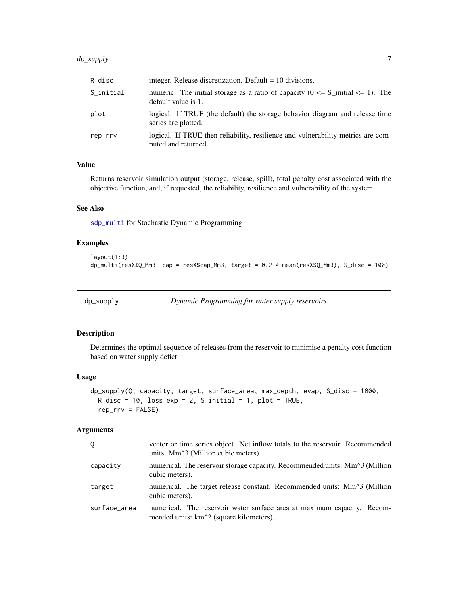# <span id="page-6-0"></span>dp\_supply 7

| R_disc    | integer. Release discretization. Default $= 10$ divisions.                                                      |
|-----------|-----------------------------------------------------------------------------------------------------------------|
| S_initial | numeric. The initial storage as a ratio of capacity ( $0 \le S_1$ initial $\le 1$ ). The<br>default value is 1. |
| plot      | logical. If TRUE (the default) the storage behavior diagram and release time<br>series are plotted.             |
| rep_rrv   | logical. If TRUE then reliability, resilience and vulnerability metrics are com-<br>puted and returned.         |

# Value

Returns reservoir simulation output (storage, release, spill), total penalty cost associated with the objective function, and, if requested, the reliability, resilience and vulnerability of the system.

# See Also

[sdp\\_multi](#page-16-1) for Stochastic Dynamic Programming

# Examples

```
layout(1:3)
dp_{\text{multi}}(resX$Q_Mm3, cap = resX$cap_Mm3, target = 0.2 * mean(resX$Q_Mm3), S_disc = 100)
```

```
dp_supply Dynamic Programming for water supply reservoirs
```
#### Description

Determines the optimal sequence of releases from the reservoir to minimise a penalty cost function based on water supply defict.

#### Usage

```
dp_supply(Q, capacity, target, surface_area, max_depth, evap, S_disc = 1000,
  R\_disc = 10, loss\_exp = 2, S\_initial = 1, plot = TRUE,
  rep\_rrv = FALSE)
```

| Q            | vector or time series object. Net inflow totals to the reservoir. Recommended<br>units: Mm <sup><math>\land</math></sup> 3 (Million cubic meters). |
|--------------|----------------------------------------------------------------------------------------------------------------------------------------------------|
| capacity     | numerical. The reservoir storage capacity. Recommended units: Mm <sup><math>\land</math></sup> 3 (Million<br>cubic meters).                        |
| target       | numerical. The target release constant. Recommended units: Mm <sup><math>\land</math></sup> 3 (Million<br>cubic meters).                           |
| surface_area | numerical. The reservoir water surface area at maximum capacity. Recom-<br>mended units: km <sup><math>\lambda</math></sup> 2 (square kilometers). |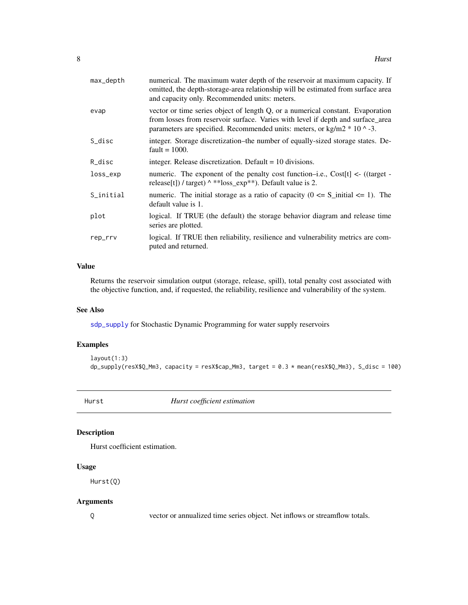<span id="page-7-0"></span>

| max_depth | numerical. The maximum water depth of the reservoir at maximum capacity. If<br>omitted, the depth-storage-area relationship will be estimated from surface area<br>and capacity only. Recommended units: meters.                                |
|-----------|-------------------------------------------------------------------------------------------------------------------------------------------------------------------------------------------------------------------------------------------------|
| evap      | vector or time series object of length Q, or a numerical constant. Evaporation<br>from losses from reservoir surface. Varies with level if depth and surface_area<br>parameters are specified. Recommended units: meters, or kg/m2 $*$ 10 ^ -3. |
| S_disc    | integer. Storage discretization–the number of equally-sized storage states. De-<br>fault = $1000$ .                                                                                                                                             |
| R_disc    | integer. Release discretization. Default $= 10$ divisions.                                                                                                                                                                                      |
| loss_exp  | numeric. The exponent of the penalty cost function-i.e., $Cost[t] \le ( (target -$<br>release[t]) / target) ^ ** loss_exp**). Default value is 2.                                                                                               |
| S_initial | numeric. The initial storage as a ratio of capacity ( $0 \le S_i$ initial $\le 1$ ). The<br>default value is 1.                                                                                                                                 |
| plot      | logical. If TRUE (the default) the storage behavior diagram and release time<br>series are plotted.                                                                                                                                             |
| rep_rrv   | logical. If TRUE then reliability, resilience and vulnerability metrics are com-<br>puted and returned.                                                                                                                                         |

Returns the reservoir simulation output (storage, release, spill), total penalty cost associated with the objective function, and, if requested, the reliability, resilience and vulnerability of the system.

# See Also

[sdp\\_supply](#page-17-1) for Stochastic Dynamic Programming for water supply reservoirs

# Examples

```
layout(1:3)
dp_supply(resX$Q_Mm3, capacity = resX$cap_Mm3, target = 0.3 * mean(resX$Q_Mm3), S_disc = 100)
```
<span id="page-7-1"></span>Hurst *Hurst coefficient estimation*

# Description

Hurst coefficient estimation.

# Usage

Hurst(Q)

# Arguments

Q vector or annualized time series object. Net inflows or streamflow totals.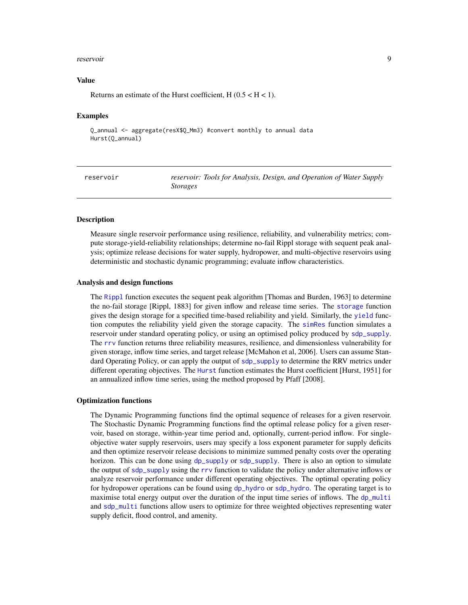#### <span id="page-8-0"></span>reservoir 9

#### Value

Returns an estimate of the Hurst coefficient,  $H(0.5 < H < 1)$ .

#### Examples

Q\_annual <- aggregate(resX\$Q\_Mm3) #convert monthly to annual data Hurst(Q\_annual)

| reservoir | reservoir: Tools for Analysis, Design, and Operation of Water Supply |
|-----------|----------------------------------------------------------------------|
|           | <i>Storages</i>                                                      |

#### **Description**

Measure single reservoir performance using resilience, reliability, and vulnerability metrics; compute storage-yield-reliability relationships; determine no-fail Rippl storage with sequent peak analysis; optimize release decisions for water supply, hydropower, and multi-objective reservoirs using deterministic and stochastic dynamic programming; evaluate inflow characteristics.

#### Analysis and design functions

The [Rippl](#page-11-1) function executes the sequent peak algorithm [Thomas and Burden, 1963] to determine the no-fail storage [Rippl, 1883] for given inflow and release time series. The [storage](#page-20-1) function gives the design storage for a specified time-based reliability and yield. Similarly, the [yield](#page-21-1) function computes the reliability yield given the storage capacity. The [simRes](#page-19-1) function simulates a reservoir under standard operating policy, or using an optimised policy produced by [sdp\\_supply](#page-17-1). The [rrv](#page-12-1) function returns three reliability measures, resilience, and dimensionless vulnerability for given storage, inflow time series, and target release [McMahon et al, 2006]. Users can assume Standard Operating Policy, or can apply the output of [sdp\\_supply](#page-17-1) to determine the RRV metrics under different operating objectives. The [Hurst](#page-7-1) function estimates the Hurst coefficient [Hurst, 1951] for an annualized inflow time series, using the method proposed by Pfaff [2008].

#### Optimization functions

The Dynamic Programming functions find the optimal sequence of releases for a given reservoir. The Stochastic Dynamic Programming functions find the optimal release policy for a given reservoir, based on storage, within-year time period and, optionally, current-period inflow. For singleobjective water supply reservoirs, users may specify a loss exponent parameter for supply deficits and then optimize reservoir release decisions to minimize summed penalty costs over the operating horizon. This can be done using [dp\\_supply](#page-6-1) or [sdp\\_supply](#page-17-1). There is also an option to simulate the output of [sdp\\_supply](#page-17-1) using the [rrv](#page-12-1) function to validate the policy under alternative inflows or analyze reservoir performance under different operating objectives. The optimal operating policy for hydropower operations can be found using [dp\\_hydro](#page-3-1) or [sdp\\_hydro](#page-14-1). The operating target is to maximise total energy output over the duration of the input time series of inflows. The [dp\\_multi](#page-5-1) and [sdp\\_multi](#page-16-1) functions allow users to optimize for three weighted objectives representing water supply deficit, flood control, and amenity.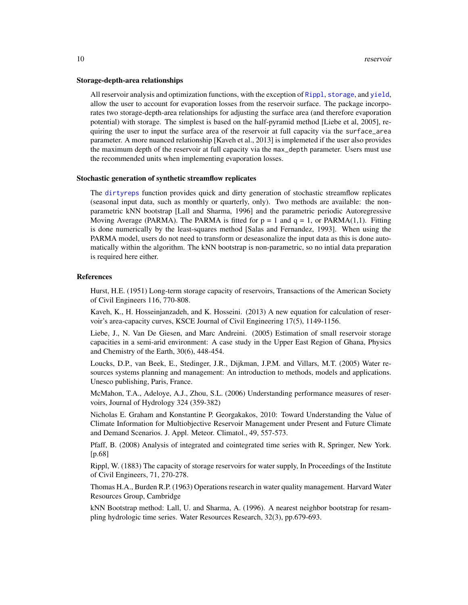#### <span id="page-9-0"></span>Storage-depth-area relationships

All reservoir analysis and optimization functions, with the exception of [Rippl](#page-11-1), [storage](#page-20-1), and [yield](#page-21-1), allow the user to account for evaporation losses from the reservoir surface. The package incorporates two storage-depth-area relationships for adjusting the surface area (and therefore evaporation potential) with storage. The simplest is based on the half-pyramid method [Liebe et al, 2005], requiring the user to input the surface area of the reservoir at full capacity via the surface\_area parameter. A more nuanced relationship [Kaveh et al., 2013] is implemeted if the user also provides the maximum depth of the reservoir at full capacity via the max\_depth parameter. Users must use the recommended units when implementing evaporation losses.

#### Stochastic generation of synthetic streamflow replicates

The [dirtyreps](#page-1-1) function provides quick and dirty generation of stochastic streamflow replicates (seasonal input data, such as monthly or quarterly, only). Two methods are available: the nonparametric kNN bootstrap [Lall and Sharma, 1996] and the parametric periodic Autoregressive Moving Average (PARMA). The PARMA is fitted for  $p = 1$  and  $q = 1$ , or PARMA(1,1). Fitting is done numerically by the least-squares method [Salas and Fernandez, 1993]. When using the PARMA model, users do not need to transform or deseasonalize the input data as this is done automatically within the algorithm. The kNN bootstrap is non-parametric, so no intial data preparation is required here either.

#### References

Hurst, H.E. (1951) Long-term storage capacity of reservoirs, Transactions of the American Society of Civil Engineers 116, 770-808.

Kaveh, K., H. Hosseinjanzadeh, and K. Hosseini. (2013) A new equation for calculation of reservoir's area-capacity curves, KSCE Journal of Civil Engineering 17(5), 1149-1156.

Liebe, J., N. Van De Giesen, and Marc Andreini. (2005) Estimation of small reservoir storage capacities in a semi-arid environment: A case study in the Upper East Region of Ghana, Physics and Chemistry of the Earth, 30(6), 448-454.

Loucks, D.P., van Beek, E., Stedinger, J.R., Dijkman, J.P.M. and Villars, M.T. (2005) Water resources systems planning and management: An introduction to methods, models and applications. Unesco publishing, Paris, France.

McMahon, T.A., Adeloye, A.J., Zhou, S.L. (2006) Understanding performance measures of reservoirs, Journal of Hydrology 324 (359-382)

Nicholas E. Graham and Konstantine P. Georgakakos, 2010: Toward Understanding the Value of Climate Information for Multiobjective Reservoir Management under Present and Future Climate and Demand Scenarios. J. Appl. Meteor. Climatol., 49, 557-573.

Pfaff, B. (2008) Analysis of integrated and cointegrated time series with R, Springer, New York. [p.68]

Rippl, W. (1883) The capacity of storage reservoirs for water supply, In Proceedings of the Institute of Civil Engineers, 71, 270-278.

Thomas H.A., Burden R.P. (1963) Operations research in water quality management. Harvard Water Resources Group, Cambridge

kNN Bootstrap method: Lall, U. and Sharma, A. (1996). A nearest neighbor bootstrap for resampling hydrologic time series. Water Resources Research, 32(3), pp.679-693.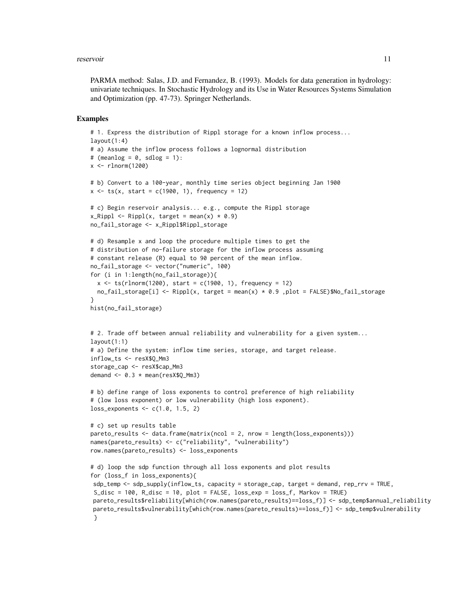#### reservoir the contract of the contract of the contract of the contract of the contract of the contract of the contract of the contract of the contract of the contract of the contract of the contract of the contract of the

PARMA method: Salas, J.D. and Fernandez, B. (1993). Models for data generation in hydrology: univariate techniques. In Stochastic Hydrology and its Use in Water Resources Systems Simulation and Optimization (pp. 47-73). Springer Netherlands.

#### Examples

```
# 1. Express the distribution of Rippl storage for a known inflow process...
lavout(1:4)# a) Assume the inflow process follows a lognormal distribution
# (meanlog = 0, sdlog = 1):
x \le - rlnorm(1200)
# b) Convert to a 100-year, monthly time series object beginning Jan 1900
x \leq -ts(x, start = c(1900, 1), frequency = 12)# c) Begin reservoir analysis... e.g., compute the Rippl storage
x_Rippl <- Rippl(x, target = mean(x) * 0.9)
no_fail_storage <- x_Rippl$Rippl_storage
# d) Resample x and loop the procedure multiple times to get the
# distribution of no-failure storage for the inflow process assuming
# constant release (R) equal to 90 percent of the mean inflow.
no_fail_storage <- vector("numeric", 100)
for (i in 1:length(no_fail_storage)){
  x \leq ts(rlnorm(1200), start = c(1900, 1), frequency = 12)
  no_fail_storage[i] <- Rippl(x, target = mean(x) * 0.9 ,plot = FALSE)$No_fail_storage
}
hist(no_fail_storage)
# 2. Trade off between annual reliability and vulnerability for a given system...
layout(1:1)# a) Define the system: inflow time series, storage, and target release.
inflow_ts <- resX$Q_Mm3
storage_cap <- resX$cap_Mm3
demand \leq -0.3 \times \text{mean}(\text{resX$Q_Mm3})# b) define range of loss exponents to control preference of high reliability
# (low loss exponent) or low vulnerability (high loss exponent).
loss_exponents <- c(1.0, 1.5, 2)
# c) set up results table
pareto_results <- data.frame(matrix(ncol = 2, nrow = length(loss_exponents)))
names(pareto_results) <- c("reliability", "vulnerability")
row.names(pareto_results) <- loss_exponents
# d) loop the sdp function through all loss exponents and plot results
for (loss_f in loss_exponents){
sdp_temp <- sdp_supply(inflow_ts, capacity = storage_cap, target = demand, rep_rrv = TRUE,
 S_disc = 100, R_disc = 10, plot = FALSE, loss_exp = loss_f, Markov = TRUE)
pareto_results$reliability[which(row.names(pareto_results)==loss_f)] <- sdp_temp$annual_reliability
pareto_results$vulnerability[which(row.names(pareto_results)==loss_f)] <- sdp_temp$vulnerability
 }
```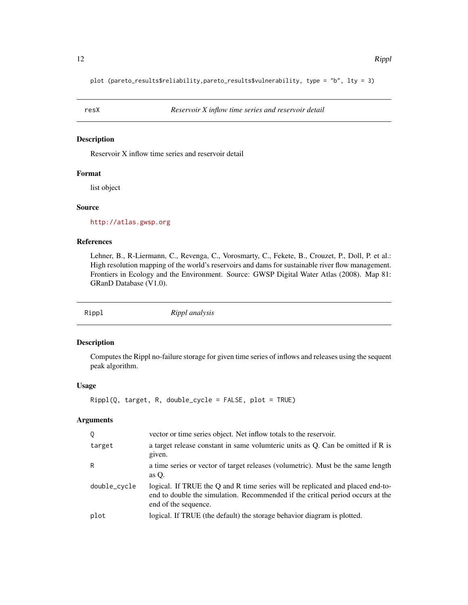<span id="page-11-0"></span>plot (pareto\_results\$reliability,pareto\_results\$vulnerability, type = "b", lty = 3)

### Description

Reservoir X inflow time series and reservoir detail

#### Format

list object

#### Source

<http://atlas.gwsp.org>

#### References

Lehner, B., R-Liermann, C., Revenga, C., Vorosmarty, C., Fekete, B., Crouzet, P., Doll, P. et al.: High resolution mapping of the world's reservoirs and dams for sustainable river flow management. Frontiers in Ecology and the Environment. Source: GWSP Digital Water Atlas (2008). Map 81: GRanD Database (V1.0).

<span id="page-11-1"></span>

Rippl *Rippl analysis*

#### Description

Computes the Rippl no-failure storage for given time series of inflows and releases using the sequent peak algorithm.

#### Usage

```
Rippl(Q, target, R, double_cycle = FALSE, plot = TRUE)
```

| $\circ$      | vector or time series object. Net inflow totals to the reservoir.                                                                                                                        |
|--------------|------------------------------------------------------------------------------------------------------------------------------------------------------------------------------------------|
| target       | a target release constant in same volumeric units as Q. Can be omitted if R is<br>given.                                                                                                 |
| R            | a time series or vector of target releases (volumetric). Must be the same length<br>as $O$ .                                                                                             |
| double_cycle | logical. If TRUE the Q and R time series will be replicated and placed end-to-<br>end to double the simulation. Recommended if the critical period occurs at the<br>end of the sequence. |
| plot         | logical. If TRUE (the default) the storage behavior diagram is plotted.                                                                                                                  |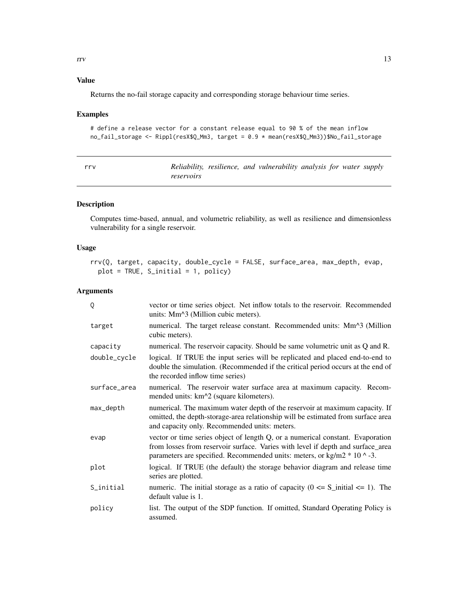<span id="page-12-0"></span>Returns the no-fail storage capacity and corresponding storage behaviour time series.

# Examples

```
# define a release vector for a constant release equal to 90 % of the mean inflow
no_fail_storage <- Rippl(resX$Q_Mm3, target = 0.9 * mean(resX$Q_Mm3))$No_fail_storage
```
<span id="page-12-1"></span>

| rrv |            |  | Reliability, resilience, and vulnerability analysis for water supply |  |  |
|-----|------------|--|----------------------------------------------------------------------|--|--|
|     | reservoirs |  |                                                                      |  |  |

# Description

Computes time-based, annual, and volumetric reliability, as well as resilience and dimensionless vulnerability for a single reservoir.

# Usage

```
rrv(Q, target, capacity, double_cycle = FALSE, surface_area, max_depth, evap,
 plot = TRUE, S_initial = 1, policy)
```

| Q            | vector or time series object. Net inflow totals to the reservoir. Recommended<br>units: Mm^3 (Million cubic meters).                                                                                                                            |
|--------------|-------------------------------------------------------------------------------------------------------------------------------------------------------------------------------------------------------------------------------------------------|
| target       | numerical. The target release constant. Recommended units: Mm^3 (Million<br>cubic meters).                                                                                                                                                      |
| capacity     | numerical. The reservoir capacity. Should be same volumetric unit as Q and R.                                                                                                                                                                   |
| double_cycle | logical. If TRUE the input series will be replicated and placed end-to-end to<br>double the simulation. (Recommended if the critical period occurs at the end of<br>the recorded inflow time series)                                            |
| surface_area | numerical. The reservoir water surface area at maximum capacity. Recom-<br>mended units: km <sup><math>\lambda</math></sup> 2 (square kilometers).                                                                                              |
| max_depth    | numerical. The maximum water depth of the reservoir at maximum capacity. If<br>omitted, the depth-storage-area relationship will be estimated from surface area<br>and capacity only. Recommended units: meters.                                |
| evap         | vector or time series object of length Q, or a numerical constant. Evaporation<br>from losses from reservoir surface. Varies with level if depth and surface_area<br>parameters are specified. Recommended units: meters, or kg/m2 $*$ 10 ^ -3. |
| plot         | logical. If TRUE (the default) the storage behavior diagram and release time<br>series are plotted.                                                                                                                                             |
| S_initial    | numeric. The initial storage as a ratio of capacity ( $0 \le S_i$ initial $\le 1$ ). The<br>default value is 1.                                                                                                                                 |
| policy       | list. The output of the SDP function. If omitted, Standard Operating Policy is<br>assumed.                                                                                                                                                      |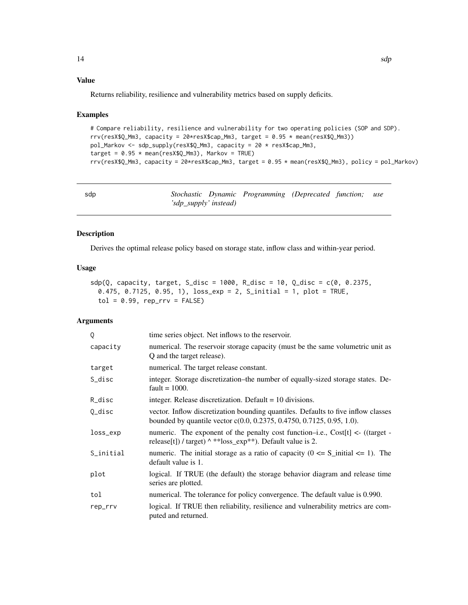<span id="page-13-0"></span>Returns reliability, resilience and vulnerability metrics based on supply deficits.

#### Examples

```
# Compare reliability, resilience and vulnerability for two operating policies (SOP and SDP).
rrv(resX$Q_Mm3, capacity = 20*resX$cap_Mm3, target = 0.95 * mean(resX$Q_Mm3)pol_Markov <- sdp_supply(resX$Q_Mm3, capacity = 20 * resX$cap_Mm3,
target = 0.95 * mean(resX$Q_Mm3), Markov = TRUE)
rrv(resX$Q_Mm3, capacity = 20*resX$cap_Mm3, target = 0.95 * mean(resX$Q_Mm3), policy = pol_Markov)
```
<span id="page-13-1"></span>

| sdp |                       | Stochastic Dynamic Programming (Deprecated function; use |  |  |
|-----|-----------------------|----------------------------------------------------------|--|--|
|     | 'sdp_supply' instead) |                                                          |  |  |

# Description

Derives the optimal release policy based on storage state, inflow class and within-year period.

#### Usage

```
sdp(Q, capacity, target, S_disc = 1000, R_disc = 10, Q_disc = c(0, 0.2375,0.475, 0.7125, 0.95, 1), loss_exp = 2, S_initial = 1, plot = TRUE,
  tol = 0.99, rep_rrv = FALSE
```

| 0         | time series object. Net inflows to the reservoir.                                                                                                             |
|-----------|---------------------------------------------------------------------------------------------------------------------------------------------------------------|
| capacity  | numerical. The reservoir storage capacity (must be the same volumetric unit as<br>Q and the target release).                                                  |
| target    | numerical. The target release constant.                                                                                                                       |
| S_disc    | integer. Storage discretization-the number of equally-sized storage states. De-<br>fault = $1000$ .                                                           |
| R_disc    | integer. Release discretization. Default $= 10$ divisions.                                                                                                    |
| $0$ _disc | vector. Inflow discretization bounding quantiles. Defaults to five inflow classes<br>bounded by quantile vector $c(0.0, 0.2375, 0.4750, 0.7125, 0.95, 1.0)$ . |
| loss_exp  | numeric. The exponent of the penalty cost function-i.e., Cost[t] $\langle$ - ((target -<br>release [t]) / target) ^ ** loss_exp**). Default value is 2.       |
| S_initial | numeric. The initial storage as a ratio of capacity ( $0 \le S_{\text{initial}} \le 1$ ). The<br>default value is 1.                                          |
| plot      | logical. If TRUE (the default) the storage behavior diagram and release time<br>series are plotted.                                                           |
| tol       | numerical. The tolerance for policy convergence. The default value is 0.990.                                                                                  |
| rep_rrv   | logical. If TRUE then reliability, resilience and vulnerability metrics are com-<br>puted and returned.                                                       |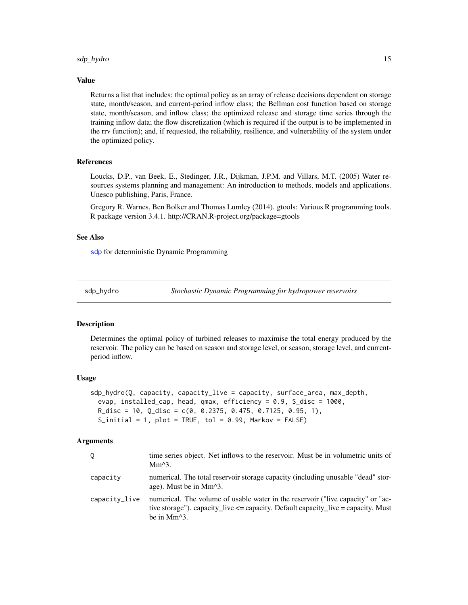#### <span id="page-14-0"></span>sdp\_hydro 15

#### Value

Returns a list that includes: the optimal policy as an array of release decisions dependent on storage state, month/season, and current-period inflow class; the Bellman cost function based on storage state, month/season, and inflow class; the optimized release and storage time series through the training inflow data; the flow discretization (which is required if the output is to be implemented in the rrv function); and, if requested, the reliability, resilience, and vulnerability of the system under the optimized policy.

#### References

Loucks, D.P., van Beek, E., Stedinger, J.R., Dijkman, J.P.M. and Villars, M.T. (2005) Water resources systems planning and management: An introduction to methods, models and applications. Unesco publishing, Paris, France.

Gregory R. Warnes, Ben Bolker and Thomas Lumley (2014). gtools: Various R programming tools. R package version 3.4.1. http://CRAN.R-project.org/package=gtools

#### See Also

[sdp](#page-13-1) for deterministic Dynamic Programming

<span id="page-14-1"></span>sdp\_hydro *Stochastic Dynamic Programming for hydropower reservoirs*

#### Description

Determines the optimal policy of turbined releases to maximise the total energy produced by the reservoir. The policy can be based on season and storage level, or season, storage level, and currentperiod inflow.

# Usage

```
sdp_hydro(Q, capacity, capacity_live = capacity, surface_area, max_depth,
  evap, installed_cap, head, qmax, efficiency = 0.9, S_disc = 1000,
 R\_disc = 10, Q\_disc = c(0, 0.2375, 0.475, 0.7125, 0.95, 1),S_initial = 1, plot = TRUE, tol = 0.99, Markov = FALSE)
```

|               | time series object. Net inflows to the reservoir. Must be in volumetric units of<br>$Mm^3$ .                                                                                                                             |
|---------------|--------------------------------------------------------------------------------------------------------------------------------------------------------------------------------------------------------------------------|
| capacity      | numerical. The total reservoir storage capacity (including unusable "dead" stor-<br>age). Must be in Mm <sup><math>\lambda</math>3.</sup>                                                                                |
| capacity_live | numerical. The volume of usable water in the reservoir ("live capacity" or "ac-<br>tive storage"). capacity_live $\leq$ = capacity. Default capacity_live = capacity. Must<br>be in Mm <sup><math>\lambda</math>3.</sup> |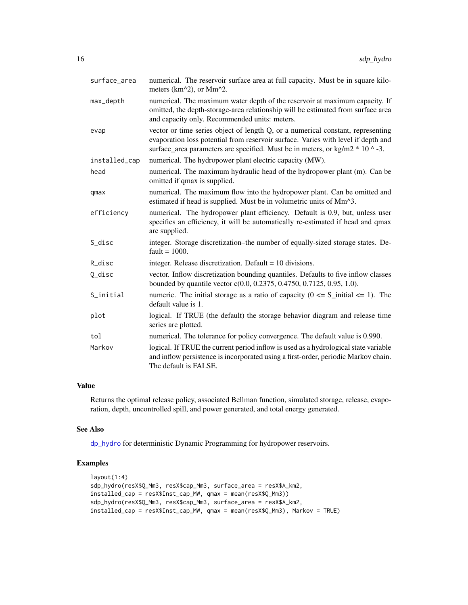<span id="page-15-0"></span>

| surface_area  | numerical. The reservoir surface area at full capacity. Must be in square kilo-<br>meters (km^2), or Mm^2.                                                                                                                                              |
|---------------|---------------------------------------------------------------------------------------------------------------------------------------------------------------------------------------------------------------------------------------------------------|
| max_depth     | numerical. The maximum water depth of the reservoir at maximum capacity. If<br>omitted, the depth-storage-area relationship will be estimated from surface area<br>and capacity only. Recommended units: meters.                                        |
| evap          | vector or time series object of length Q, or a numerical constant, representing<br>evaporation loss potential from reservoir surface. Varies with level if depth and<br>surface_area parameters are specified. Must be in meters, or kg/m2 $*$ 10 ^ -3. |
| installed_cap | numerical. The hydropower plant electric capacity (MW).                                                                                                                                                                                                 |
| head          | numerical. The maximum hydraulic head of the hydropower plant (m). Can be<br>omitted if qmax is supplied.                                                                                                                                               |
| qmax          | numerical. The maximum flow into the hydropower plant. Can be omitted and<br>estimated if head is supplied. Must be in volumetric units of Mm <sup><math>\lambda</math></sup> 3.                                                                        |
| efficiency    | numerical. The hydropower plant efficiency. Default is 0.9, but, unless user<br>specifies an efficiency, it will be automatically re-estimated if head and qmax<br>are supplied.                                                                        |
| S_disc        | integer. Storage discretization-the number of equally-sized storage states. De-<br>$fault = 1000.$                                                                                                                                                      |
| R_disc        | integer. Release discretization. Default $= 10$ divisions.                                                                                                                                                                                              |
| Q_disc        | vector. Inflow discretization bounding quantiles. Defaults to five inflow classes<br>bounded by quantile vector c(0.0, 0.2375, 0.4750, 0.7125, 0.95, 1.0).                                                                                              |
| S_initial     | numeric. The initial storage as a ratio of capacity ( $0 \le S_i$ initial $\le 1$ ). The<br>default value is 1.                                                                                                                                         |
| plot          | logical. If TRUE (the default) the storage behavior diagram and release time<br>series are plotted.                                                                                                                                                     |
| tol           | numerical. The tolerance for policy convergence. The default value is 0.990.                                                                                                                                                                            |
| Markov        | logical. If TRUE the current period inflow is used as a hydrological state variable<br>and inflow persistence is incorporated using a first-order, periodic Markov chain.<br>The default is FALSE.                                                      |

Returns the optimal release policy, associated Bellman function, simulated storage, release, evaporation, depth, uncontrolled spill, and power generated, and total energy generated.

#### See Also

[dp\\_hydro](#page-3-1) for deterministic Dynamic Programming for hydropower reservoirs.

# Examples

```
layout(1:4)
sdp_hydro(resX$Q_Mm3, resX$cap_Mm3, surface_area = resX$A_km2,
installed_cap = resX$Inst_cap_MW, qmax = mean(resX$Q_Mm3))
sdp_hydro(resX$Q_Mm3, resX$cap_Mm3, surface_area = resX$A_km2,
installed_cap = resX$Inst_cap_MW, qmax = mean(resX$Q_Mm3), Markov = TRUE)
```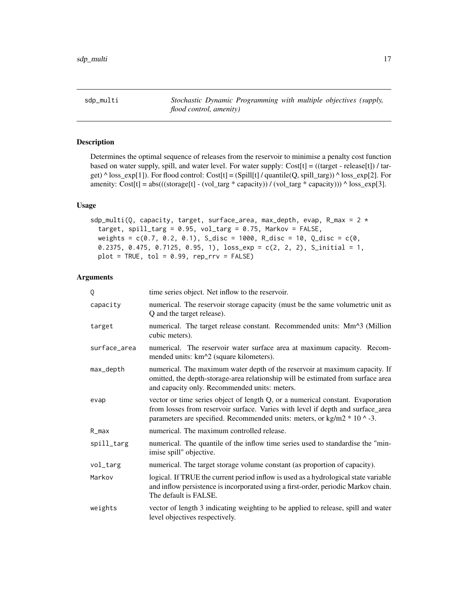<span id="page-16-1"></span><span id="page-16-0"></span>sdp\_multi *Stochastic Dynamic Programming with multiple objectives (supply, flood control, amenity)*

# Description

Determines the optimal sequence of releases from the reservoir to minimise a penalty cost function based on water supply, spill, and water level. For water supply: Cost[t] = ((target - release[t]) / target)  $\triangle$  loss\_exp[1]). For flood control: Cost[t] = (Spill[t] / quantile(Q, spill\_targ))  $\triangle$  loss\_exp[2]. For amenity: Cost[t] = abs(((storage[t] - (vol\_targ \* capacity)) / (vol\_targ \* capacity))) ^ loss\_exp[3].

# Usage

```
sdp_multi(Q, capacity, target, surface_area, max_depth, evap, R_max = 2 *target, spill_targ = 0.95, vol_targ = 0.75, Markov = FALSE,
 weights = c(0.7, 0.2, 0.1), S_disc = 1000, R_disc = 10, Q_disc = c(0,
 0.2375, 0.475, 0.7125, 0.95, 1), loss_exp = c(2, 2, 2), S_initial = 1,
 plot = TRUE, tol = 0.99, rep_rrv = FALSE)
```

| 0            | time series object. Net inflow to the reservoir.                                                                                                                                                                                                |
|--------------|-------------------------------------------------------------------------------------------------------------------------------------------------------------------------------------------------------------------------------------------------|
| capacity     | numerical. The reservoir storage capacity (must be the same volumetric unit as<br>Q and the target release).                                                                                                                                    |
| target       | numerical. The target release constant. Recommended units: Mm^3 (Million<br>cubic meters).                                                                                                                                                      |
| surface_area | numerical. The reservoir water surface area at maximum capacity. Recom-<br>mended units: km <sup><math>\lambda</math></sup> 2 (square kilometers).                                                                                              |
| max_depth    | numerical. The maximum water depth of the reservoir at maximum capacity. If<br>omitted, the depth-storage-area relationship will be estimated from surface area<br>and capacity only. Recommended units: meters.                                |
| evap         | vector or time series object of length Q, or a numerical constant. Evaporation<br>from losses from reservoir surface. Varies with level if depth and surface_area<br>parameters are specified. Recommended units: meters, or kg/m2 $*$ 10 ^ -3. |
| R_max        | numerical. The maximum controlled release.                                                                                                                                                                                                      |
| spill_targ   | numerical. The quantile of the inflow time series used to standardise the "min-<br>imise spill" objective.                                                                                                                                      |
| vol_targ     | numerical. The target storage volume constant (as proportion of capacity).                                                                                                                                                                      |
| Markov       | logical. If TRUE the current period inflow is used as a hydrological state variable<br>and inflow persistence is incorporated using a first-order, periodic Markov chain.<br>The default is FALSE.                                              |
| weights      | vector of length 3 indicating weighting to be applied to release, spill and water<br>level objectives respectively.                                                                                                                             |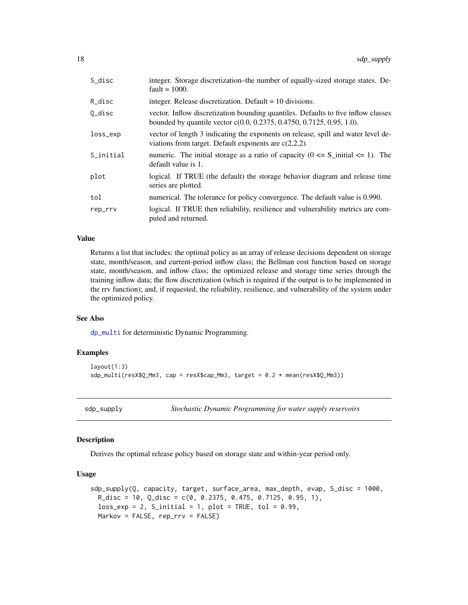<span id="page-17-0"></span>

| S_disc    | integer. Storage discretization–the number of equally-sized storage states. De-<br>fault = $1000$ .                                                        |
|-----------|------------------------------------------------------------------------------------------------------------------------------------------------------------|
| R_disc    | integer. Release discretization. Default $= 10$ divisions.                                                                                                 |
| O_disc    | vector. Inflow discretization bounding quantiles. Defaults to five inflow classes<br>bounded by quantile vector c(0.0, 0.2375, 0.4750, 0.7125, 0.95, 1.0). |
| loss_exp  | vector of length 3 indicating the exponents on release, spill and water level de-<br>viations from target. Default exponents are $c(2,2,2)$ .              |
| S_initial | numeric. The initial storage as a ratio of capacity $(0 \le S_{\text{initial}} \le 1)$ . The<br>default value is 1.                                        |
| plot      | logical. If TRUE (the default) the storage behavior diagram and release time<br>series are plotted.                                                        |
| tol       | numerical. The tolerance for policy convergence. The default value is 0.990.                                                                               |
| rep_rrv   | logical. If TRUE then reliability, resilience and vulnerability metrics are com-<br>puted and returned.                                                    |

Returns a list that includes: the optimal policy as an array of release decisions dependent on storage state, month/season, and current-period inflow class; the Bellman cost function based on storage state, month/season, and inflow class; the optimized release and storage time series through the training inflow data; the flow discretization (which is required if the output is to be implemented in the rrv function); and, if requested, the reliability, resilience, and vulnerability of the system under the optimized policy.

#### See Also

[dp\\_multi](#page-5-1) for deterministic Dynamic Programming.

# Examples

```
layout(1:3)
sdp_multi(resX$Q_Mm3, cap = resX$cap_Mm3, target = 0.2 * mean(resX$Q_Mm3))
```
<span id="page-17-1"></span>sdp\_supply *Stochastic Dynamic Programming for water supply reservoirs*

#### Description

Derives the optimal release policy based on storage state and within-year period only.

#### Usage

```
sdp_supply(Q, capacity, target, surface_area, max_depth, evap, S_disc = 1000,
 R\_disc = 10, Q\_disc = c(0, 0.2375, 0.475, 0.7125, 0.95, 1),loss\_exp = 2, S_initial = 1, plot = TRUE, tol = 0.99,
 Markov = FALSE, rep_rrv = FALSE)
```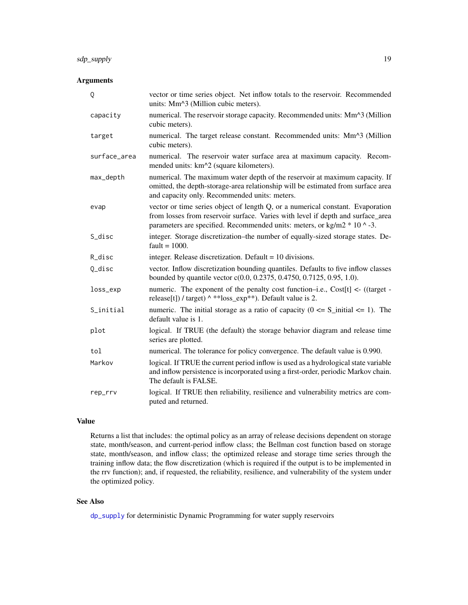# <span id="page-18-0"></span>sdp\_supply 19

# Arguments

| Q            | vector or time series object. Net inflow totals to the reservoir. Recommended<br>units: Mm^3 (Million cubic meters).                                                                                                                                  |
|--------------|-------------------------------------------------------------------------------------------------------------------------------------------------------------------------------------------------------------------------------------------------------|
| capacity     | numerical. The reservoir storage capacity. Recommended units: Mm^3 (Million<br>cubic meters).                                                                                                                                                         |
| target       | numerical. The target release constant. Recommended units: Mm^3 (Million<br>cubic meters).                                                                                                                                                            |
| surface_area | numerical. The reservoir water surface area at maximum capacity. Recom-<br>mended units: km^2 (square kilometers).                                                                                                                                    |
| max_depth    | numerical. The maximum water depth of the reservoir at maximum capacity. If<br>omitted, the depth-storage-area relationship will be estimated from surface area<br>and capacity only. Recommended units: meters.                                      |
| evap         | vector or time series object of length Q, or a numerical constant. Evaporation<br>from losses from reservoir surface. Varies with level if depth and surface_area<br>parameters are specified. Recommended units: meters, or kg/m2 $*$ 10 $\land$ -3. |
| S_disc       | integer. Storage discretization-the number of equally-sized storage states. De-<br>fault = $1000$ .                                                                                                                                                   |
| R_disc       | integer. Release discretization. Default $= 10$ divisions.                                                                                                                                                                                            |
| Q_disc       | vector. Inflow discretization bounding quantiles. Defaults to five inflow classes<br>bounded by quantile vector c(0.0, 0.2375, 0.4750, 0.7125, 0.95, 1.0).                                                                                            |
| loss_exp     | numeric. The exponent of the penalty cost function-i.e., Cost[t] $\lt$ - ((target -<br>release[t]) / target) ^ **loss_exp**). Default value is 2.                                                                                                     |
| S_initial    | numeric. The initial storage as a ratio of capacity ( $0 \le S_i$ initial $\le 1$ ). The<br>default value is 1.                                                                                                                                       |
| plot         | logical. If TRUE (the default) the storage behavior diagram and release time<br>series are plotted.                                                                                                                                                   |
| tol          | numerical. The tolerance for policy convergence. The default value is 0.990.                                                                                                                                                                          |
| Markov       | logical. If TRUE the current period inflow is used as a hydrological state variable<br>and inflow persistence is incorporated using a first-order, periodic Markov chain.<br>The default is FALSE.                                                    |
| rep_rrv      | logical. If TRUE then reliability, resilience and vulnerability metrics are com-<br>puted and returned.                                                                                                                                               |

#### Value

Returns a list that includes: the optimal policy as an array of release decisions dependent on storage state, month/season, and current-period inflow class; the Bellman cost function based on storage state, month/season, and inflow class; the optimized release and storage time series through the training inflow data; the flow discretization (which is required if the output is to be implemented in the rrv function); and, if requested, the reliability, resilience, and vulnerability of the system under the optimized policy.

# See Also

[dp\\_supply](#page-6-1) for deterministic Dynamic Programming for water supply reservoirs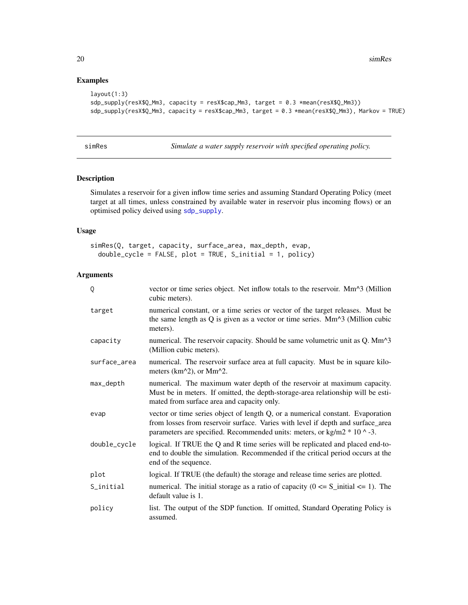# Examples

```
layout(1:3)
sdp_supply(resX$Q_Mm3, capacity = resX$cap_Mm3, target = 0.3 *mean(resX$Q_Mm3))
sdp_supply(resX$Q_Mm3, capacity = resX$cap_Mm3, target = 0.3 *mean(resX$Q_Mm3), Markov = TRUE)
```
<span id="page-19-1"></span>simRes *Simulate a water supply reservoir with specified operating policy.*

# Description

Simulates a reservoir for a given inflow time series and assuming Standard Operating Policy (meet target at all times, unless constrained by available water in reservoir plus incoming flows) or an optimised policy deived using [sdp\\_supply](#page-17-1).

# Usage

```
simRes(Q, target, capacity, surface_area, max_depth, evap,
 double_cycle = FALSE, plot = TRUE, S_initial = 1, policy)
```

| Q            | vector or time series object. Net inflow totals to the reservoir. Mm^3 (Million<br>cubic meters).                                                                                                                                               |
|--------------|-------------------------------------------------------------------------------------------------------------------------------------------------------------------------------------------------------------------------------------------------|
| target       | numerical constant, or a time series or vector of the target releases. Must be<br>the same length as $Q$ is given as a vector or time series. Mm $\textdegree$ 3 (Million cubic<br>meters).                                                     |
| capacity     | numerical. The reservoir capacity. Should be same volumetric unit as Q. Mm <sup><math>\lambda</math></sup> 3<br>(Million cubic meters).                                                                                                         |
| surface_area | numerical. The reservoir surface area at full capacity. Must be in square kilo-<br>meters (km^2), or Mm^2.                                                                                                                                      |
| max_depth    | numerical. The maximum water depth of the reservoir at maximum capacity.<br>Must be in meters. If omitted, the depth-storage-area relationship will be esti-<br>mated from surface area and capacity only.                                      |
| evap         | vector or time series object of length Q, or a numerical constant. Evaporation<br>from losses from reservoir surface. Varies with level if depth and surface_area<br>parameters are specified. Recommended units: meters, or kg/m2 $*$ 10 ^ -3. |
| double_cycle | logical. If TRUE the Q and R time series will be replicated and placed end-to-<br>end to double the simulation. Recommended if the critical period occurs at the<br>end of the sequence.                                                        |
| plot         | logical. If TRUE (the default) the storage and release time series are plotted.                                                                                                                                                                 |
| S_initial    | numerical. The initial storage as a ratio of capacity ( $0 \le S_i$ initial $\le 1$ ). The<br>default value is 1.                                                                                                                               |
| policy       | list. The output of the SDP function. If omitted, Standard Operating Policy is<br>assumed.                                                                                                                                                      |

<span id="page-19-0"></span>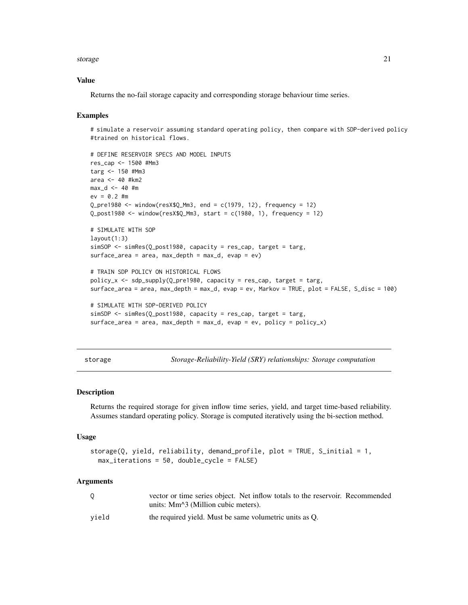#### <span id="page-20-0"></span>storage 21 and 22 and 22 and 22 and 22 and 22 and 22 and 22 and 22 and 22 and 22 and 22 and 22 and 22 and 22 and 22 and 22 and 22 and 22 and 22 and 22 and 22 and 22 and 22 and 22 and 22 and 22 and 22 and 22 and 22 and 22 a

#### Value

Returns the no-fail storage capacity and corresponding storage behaviour time series.

#### Examples

# simulate a reservoir assuming standard operating policy, then compare with SDP-derived policy #trained on historical flows.

```
# DEFINE RESERVOIR SPECS AND MODEL INPUTS
res_cap <- 1500 #Mm3
targ <- 150 #Mm3
area <- 40 #km2
max_d < -40 #m
ev = 0.2 #m
Q_pre1980 <- window(resX$Q_Mm3, end = c(1979, 12), frequency = 12)
Q_post1980 <- window(resX$Q_Mm3, start = c(1980, 1), frequency = 12)
# SIMULATE WITH SOP
layout(1:3)
simSOP <- simRes(Q_post1980, capacity = res_cap, target = targ,
surface_area = area, max_depth = max_d, evap = ev)
# TRAIN SDP POLICY ON HISTORICAL FLOWS
policy_x < - sdp_supply(Q_pre1980, capacity = res_cap, target = targ,
surface_area = area, max_depth = max_d, evap = ev, Markov = TRUE, plot = FALSE, S_disc = 100)
# SIMULATE WITH SDP-DERIVED POLICY
simSDP <- simRes(Q_post1980, capacity = res_cap, target = targ,
surface_area = area, max_depth = max_d, evap = ev, policy = policy_x)
```
<span id="page-20-1"></span>storage *Storage-Reliability-Yield (SRY) relationships: Storage computation*

# **Description**

Returns the required storage for given inflow time series, yield, and target time-based reliability. Assumes standard operating policy. Storage is computed iteratively using the bi-section method.

#### Usage

```
storage(Q, yield, reliability, demand_profile, plot = TRUE, S_initial = 1,
 max_iterations = 50, double_cycle = FALSE)
```

| 0     | vector or time series object. Net inflow totals to the reservoir. Recommended<br>units: Mm <sup><math>\lambda</math></sup> 3 (Million cubic meters). |
|-------|------------------------------------------------------------------------------------------------------------------------------------------------------|
| vield | the required yield. Must be same volumetric units as Q.                                                                                              |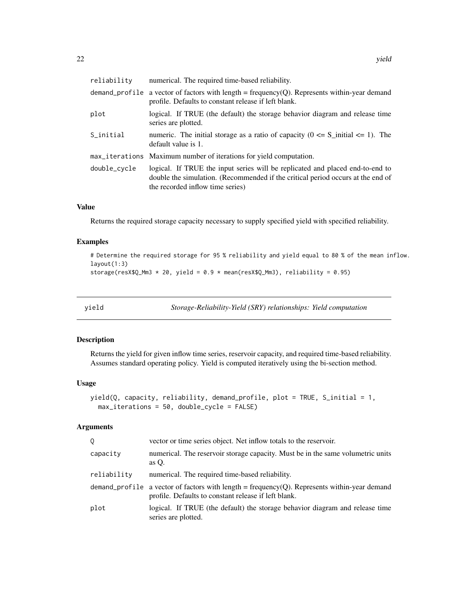<span id="page-21-0"></span>

| reliability  | numerical. The required time-based reliability.                                                                                                                                                      |
|--------------|------------------------------------------------------------------------------------------------------------------------------------------------------------------------------------------------------|
|              | demand_profile a vector of factors with length = frequency(Q). Represents within-year demand<br>profile. Defaults to constant release if left blank.                                                 |
| plot         | logical. If TRUE (the default) the storage behavior diagram and release time<br>series are plotted.                                                                                                  |
| S_initial    | numeric. The initial storage as a ratio of capacity ( $0 \le S_{\text{initial}} \le 1$ ). The<br>default value is 1.                                                                                 |
|              | max_iterations Maximum number of iterations for yield computation.                                                                                                                                   |
| double_cycle | logical. If TRUE the input series will be replicated and placed end-to-end to<br>double the simulation. (Recommended if the critical period occurs at the end of<br>the recorded inflow time series) |
|              |                                                                                                                                                                                                      |

Returns the required storage capacity necessary to supply specified yield with specified reliability.

#### Examples

```
# Determine the required storage for 95 % reliability and yield equal to 80 % of the mean inflow.
layout(1:3)
storage(resX$Q_Mm3 * 20, yield = 0.9 * mean(resX$Q_Mm3), reliability = 0.95)
```
<span id="page-21-1"></span>yield *Storage-Reliability-Yield (SRY) relationships: Yield computation*

# Description

Returns the yield for given inflow time series, reservoir capacity, and required time-based reliability. Assumes standard operating policy. Yield is computed iteratively using the bi-section method.

#### Usage

```
yield(Q, capacity, reliability, demand_profile, plot = TRUE, S_initial = 1,
 max_iterations = 50, double_cycle = FALSE)
```

| 0           | vector or time series object. Net inflow totals to the reservoir.                                                                                    |
|-------------|------------------------------------------------------------------------------------------------------------------------------------------------------|
| capacity    | numerical. The reservoir storage capacity. Must be in the same volumetric units<br>as $O$ .                                                          |
| reliability | numerical. The required time-based reliability.                                                                                                      |
|             | demand_profile a vector of factors with length = frequency(Q). Represents within-year demand<br>profile. Defaults to constant release if left blank. |
| plot        | logical. If TRUE (the default) the storage behavior diagram and release time<br>series are plotted.                                                  |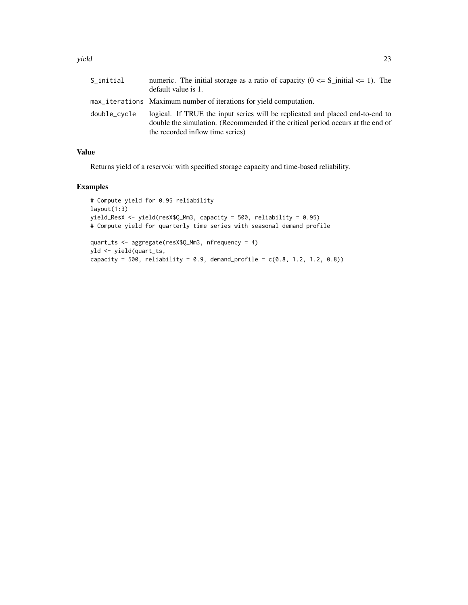#### yield 23

| S_initial    | numeric. The initial storage as a ratio of capacity ( $0 \le S_i$ initial $\le 1$ ). The<br>default value is 1.                                                                                      |
|--------------|------------------------------------------------------------------------------------------------------------------------------------------------------------------------------------------------------|
|              | max_iterations Maximum number of iterations for yield computation.                                                                                                                                   |
| double_cvcle | logical. If TRUE the input series will be replicated and placed end-to-end to<br>double the simulation. (Recommended if the critical period occurs at the end of<br>the recorded inflow time series) |

# Value

Returns yield of a reservoir with specified storage capacity and time-based reliability.

# Examples

```
# Compute yield for 0.95 reliability
layout(1:3)
yield_ResX <- yield(resX$Q_Mm3, capacity = 500, reliability = 0.95)
# Compute yield for quarterly time series with seasonal demand profile
quart_ts <- aggregate(resX$Q_Mm3, nfrequency = 4)
yld <- yield(quart_ts,
capacity = 500, reliability = 0.9, demand_profile = c(0.8, 1.2, 1.2, 0.8))
```